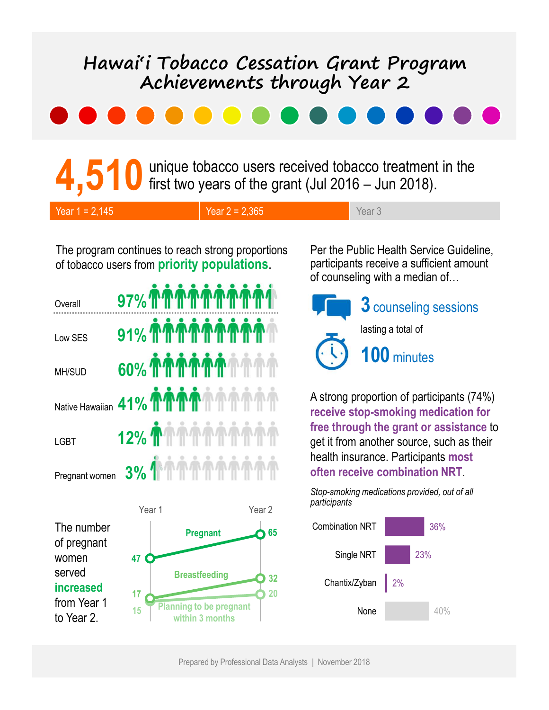# Franchievements through Year 2<br>
and Control Control of the grant (Jul 2016 – Jun 2018).<br>
The grant (Jul 2016 – Jun 2018).<br>
The grant (Jul 2016 – Jun 2018).<br>
The grant (Star 3 Hawai'i Tobacco Cessation Grant Program Achievements through Year 2 Hawai'i Tobacco Cessation Grant Program<br>
Achievements through Year 2<br>
<br> **A,510** unique tobacco users received tobacco treatment in the<br>
Year 1= 2,145<br>
The program continues to reach strong proportions<br>
The program continu

4,510 unique tobacco users received tobacco treatment in the first two years of the grant (Jul 2016 – Jun 2018).

| Year $1 = 2,145$ | Year $2 = 2,365$ | Year <sub>3</sub> |
|------------------|------------------|-------------------|
|------------------|------------------|-------------------|

The program continues to reach strong proportions Per the Public Health Service Guideline, of tobacco users from priority populations.

| Overall        | 97% ሰሰሰሰሰሰሰሰሰ                 |                            |
|----------------|-------------------------------|----------------------------|
| Low SES        | 91% በበበሰሰሰሰሰሰ                 | $(\cdot \setminus \cdot)$  |
| MH/SUD         | 60% TTTTTTTTTTTT              |                            |
|                | Native Hawaiian 41% TTTTT AM  | A strong<br><b>receive</b> |
| <b>LGBT</b>    | <b>12% TATATATAT</b>          | free thro<br>get it fro    |
| Pregnant women | <b>\⋔⋔⋔⋔⋔⋔⋔</b><br><b>3%1</b> | health in<br>often re      |

The number of pregnant women served increased 17 from Year 1 to Year 2.



participants receive a sufficient amount of counseling with a median of…



3 counseling sessions

lasting a total of

100 minutes

A strong proportion of participants (74%) receive stop-smoking medication for free through the grant or assistance to **12% THEFT IN THE TELEVISION SPACE SUCH AS SPACE SUPPLIES** health insurance. Participants most often receive combination NRT.

> Stop-smoking medications provided, out of all participants

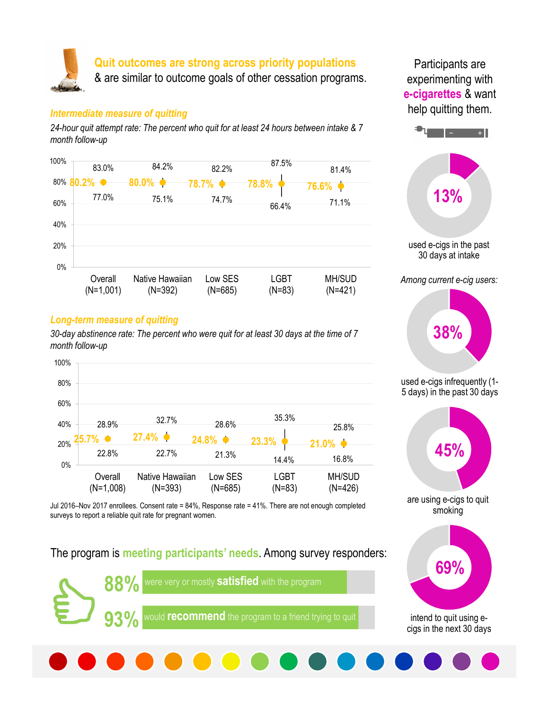

#### Intermediate measure of quitting

24-hour quit attempt rate: The percent who quit for at least 24 hours between intake & 7 month follow-up



#### Long-term measure of quitting

30-day abstinence rate: The percent who were quit for at least 30 days at the time of 7 month follow-up



Jul 2016–Nov 2017 enrollees. Consent rate = 84%, Response rate = 41%. There are not enough completed surveys to report a reliable quit rate for pregnant women.

The program is meeting participants' needs. Among survey responders:



Participants are experimenting with e-cigarettes & want help quitting them.





used e-cigs infrequently (1- 5 days) in the past 30 days



smoking



intend to quit using ecigs in the next 30 days